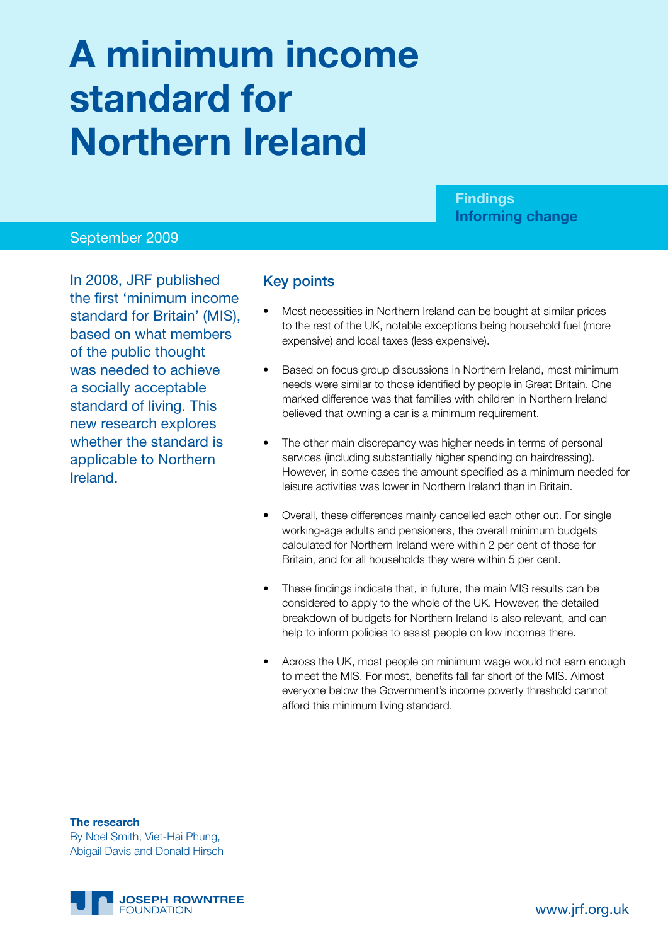# **A minimum income standard for Northern Ireland**

# **Findings Informing change**

#### September 2009

In 2008, JRF published the first 'minimum income standard for Britain' (MIS), based on what members of the public thought was needed to achieve a socially acceptable standard of living. This new research explores whether the standard is applicable to Northern Ireland.

#### Key points

- Most necessities in Northern Ireland can be bought at similar prices to the rest of the UK, notable exceptions being household fuel (more expensive) and local taxes (less expensive).
- Based on focus group discussions in Northern Ireland, most minimum needs were similar to those identified by people in Great Britain. One marked difference was that families with children in Northern Ireland believed that owning a car is a minimum requirement.
- The other main discrepancy was higher needs in terms of personal services (including substantially higher spending on hairdressing). However, in some cases the amount specified as a minimum needed for leisure activities was lower in Northern Ireland than in Britain.
- Overall, these differences mainly cancelled each other out. For single working-age adults and pensioners, the overall minimum budgets calculated for Northern Ireland were within 2 per cent of those for Britain, and for all households they were within 5 per cent.
- These findings indicate that, in future, the main MIS results can be considered to apply to the whole of the UK. However, the detailed breakdown of budgets for Northern Ireland is also relevant, and can help to inform policies to assist people on low incomes there.
- Across the UK, most people on minimum wage would not earn enough to meet the MIS. For most, benefits fall far short of the MIS. Almost everyone below the Government's income poverty threshold cannot afford this minimum living standard.

**The research** By Noel Smith, Viet-Hai Phung, Abigail Davis and Donald Hirsch

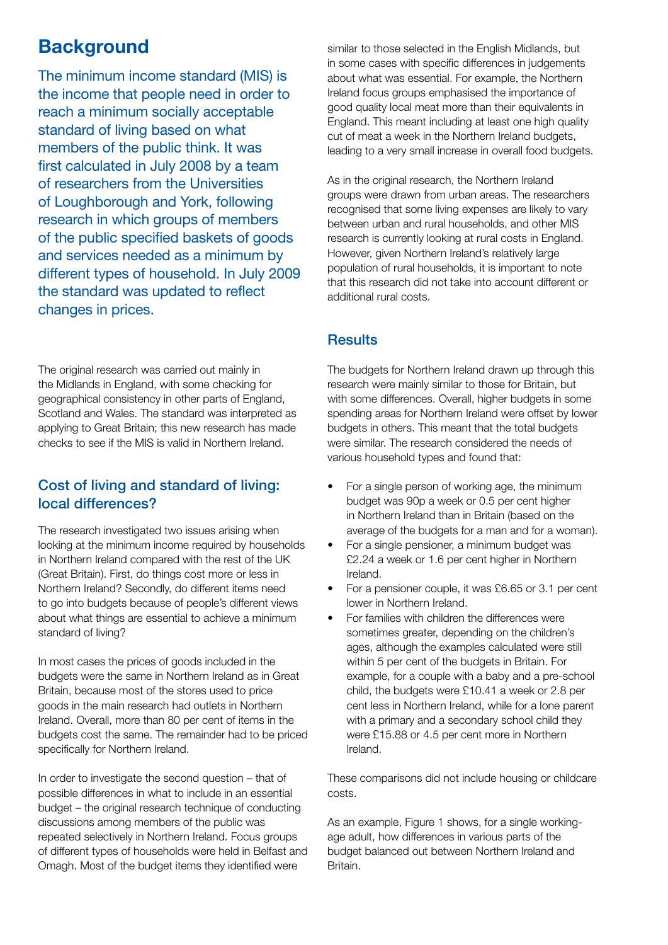# **Background**

The minimum income standard (MIS) is the income that people need in order to reach a minimum socially acceptable standard of living based on what members of the public think. It was first calculated in July 2008 by a team of researchers from the Universities of Loughborough and York, following research in which groups of members of the public specified baskets of goods and services needed as a minimum by different types of household. In July 2009 the standard was updated to reflect changes in prices.

The original research was carried out mainly in the Midlands in England, with some checking for geographical consistency in other parts of England, Scotland and Wales. The standard was interpreted as applying to Great Britain; this new research has made checks to see if the MIS is valid in Northern Ireland.

# Cost of living and standard of living: local differences?

The research investigated two issues arising when looking at the minimum income required by households in Northern Ireland compared with the rest of the UK (Great Britain). First, do things cost more or less in Northern Ireland? Secondly, do different items need to go into budgets because of people's different views about what things are essential to achieve a minimum standard of living?

In most cases the prices of goods included in the budgets were the same in Northern Ireland as in Great Britain, because most of the stores used to price goods in the main research had outlets in Northern Ireland. Overall, more than 80 per cent of items in the budgets cost the same. The remainder had to be priced specifically for Northern Ireland.

In order to investigate the second question – that of possible differences in what to include in an essential budget – the original research technique of conducting discussions among members of the public was repeated selectively in Northern Ireland. Focus groups of different types of households were held in Belfast and Omagh. Most of the budget items they identified were

similar to those selected in the English Midlands, but in some cases with specific differences in judgements about what was essential. For example, the Northern Ireland focus groups emphasised the importance of good quality local meat more than their equivalents in England. This meant including at least one high quality cut of meat a week in the Northern Ireland budgets, leading to a very small increase in overall food budgets.

As in the original research, the Northern Ireland groups were drawn from urban areas. The researchers recognised that some living expenses are likely to vary between urban and rural households, and other MIS research is currently looking at rural costs in England. However, given Northern Ireland's relatively large population of rural households, it is important to note that this research did not take into account different or additional rural costs.

# **Results**

The budgets for Northern Ireland drawn up through this research were mainly similar to those for Britain, but with some differences. Overall, higher budgets in some spending areas for Northern Ireland were offset by lower budgets in others. This meant that the total budgets were similar. The research considered the needs of various household types and found that:

- For a single person of working age, the minimum budget was 90p a week or 0.5 per cent higher in Northern Ireland than in Britain (based on the average of the budgets for a man and for a woman).
- For a single pensioner, a minimum budget was £2.24 a week or 1.6 per cent higher in Northern Ireland.
- For a pensioner couple, it was £6.65 or 3.1 per cent lower in Northern Ireland.
- For families with children the differences were sometimes greater, depending on the children's ages, although the examples calculated were still within 5 per cent of the budgets in Britain. For example, for a couple with a baby and a pre-school child, the budgets were £10.41 a week or 2.8 per cent less in Northern Ireland, while for a lone parent with a primary and a secondary school child they were £15.88 or 4.5 per cent more in Northern Ireland.

These comparisons did not include housing or childcare costs.

As an example, Figure 1 shows, for a single workingage adult, how differences in various parts of the budget balanced out between Northern Ireland and Britain.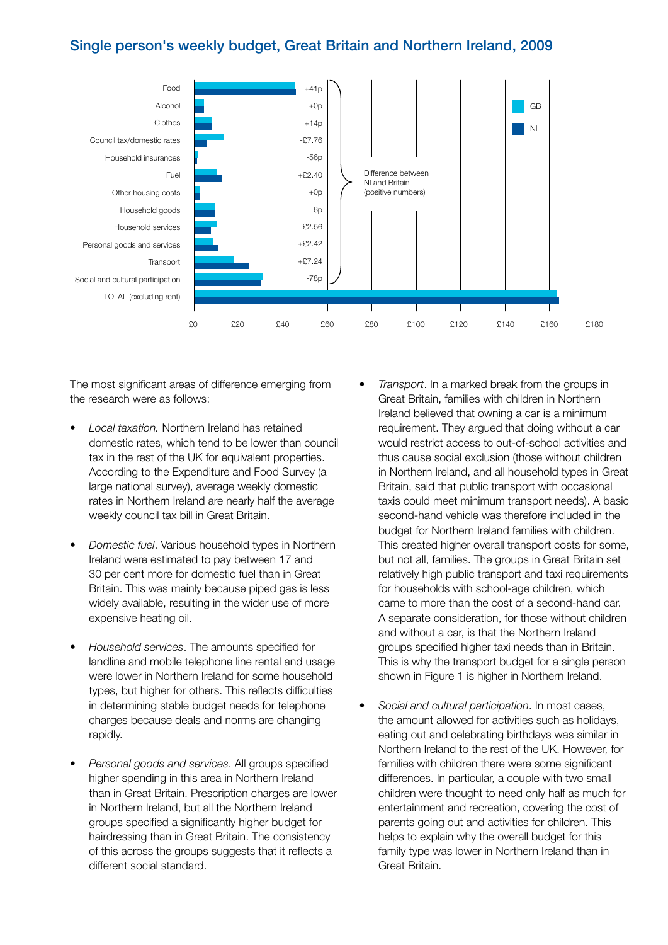#### Single person's weekly budget, Great Britain and Northern Ireland, 2009



The most significant areas of difference emerging from the research were as follows:

- **Local taxation.** Northern Ireland has retained domestic rates, which tend to be lower than council tax in the rest of the UK for equivalent properties. According to the Expenditure and Food Survey (a large national survey), average weekly domestic rates in Northern Ireland are nearly half the average weekly council tax bill in Great Britain.
- **Domestic fuel. Various household types in Northern** Ireland were estimated to pay between 17 and 30 per cent more for domestic fuel than in Great Britain. This was mainly because piped gas is less widely available, resulting in the wider use of more expensive heating oil.
- Household services. The amounts specified for landline and mobile telephone line rental and usage were lower in Northern Ireland for some household types, but higher for others. This reflects difficulties in determining stable budget needs for telephone charges because deals and norms are changing rapidly.
- Personal goods and services. All groups specified higher spending in this area in Northern Ireland than in Great Britain. Prescription charges are lower in Northern Ireland, but all the Northern Ireland groups specified a significantly higher budget for hairdressing than in Great Britain. The consistency of this across the groups suggests that it reflects a different social standard.
- Transport. In a marked break from the groups in Great Britain, families with children in Northern Ireland believed that owning a car is a minimum requirement. They argued that doing without a car would restrict access to out-of-school activities and thus cause social exclusion (those without children in Northern Ireland, and all household types in Great Britain, said that public transport with occasional taxis could meet minimum transport needs). A basic second-hand vehicle was therefore included in the budget for Northern Ireland families with children. This created higher overall transport costs for some, but not all, families. The groups in Great Britain set relatively high public transport and taxi requirements for households with school-age children, which came to more than the cost of a second-hand car. A separate consideration, for those without children and without a car, is that the Northern Ireland groups specified higher taxi needs than in Britain. This is why the transport budget for a single person shown in Figure 1 is higher in Northern Ireland.
- Social and cultural participation. In most cases, the amount allowed for activities such as holidays, eating out and celebrating birthdays was similar in Northern Ireland to the rest of the UK. However, for families with children there were some significant differences. In particular, a couple with two small children were thought to need only half as much for entertainment and recreation, covering the cost of parents going out and activities for children. This helps to explain why the overall budget for this family type was lower in Northern Ireland than in Great Britain.